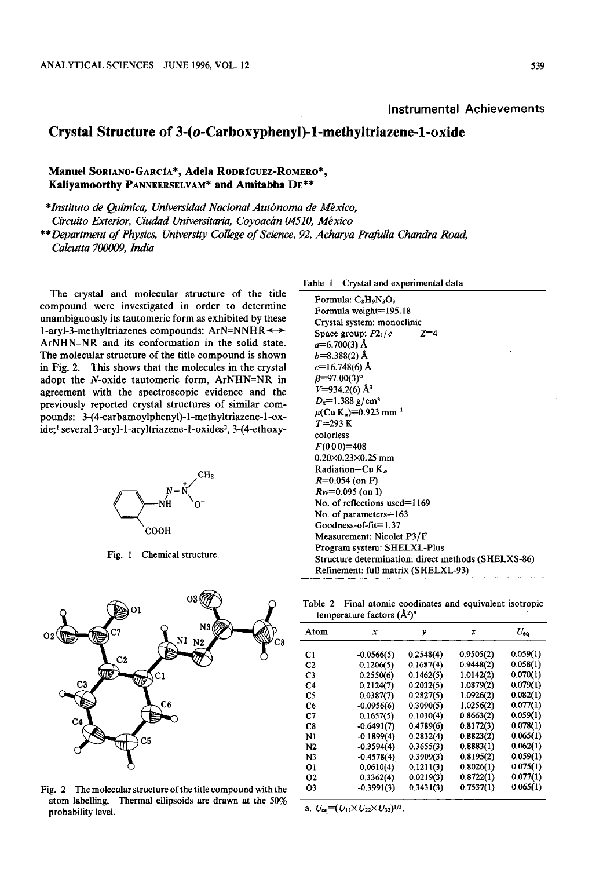## Crystal Structure of 3-(o-Carboxyphenyl)-1-methyltriazene-1-oxide

Manuel SORIANO-GARCIA\*, Adela RODRIGUEZ-ROMERO\*, Kaliyam00rthy PANNEERSELVAM\* and Amitabha DE\*\*

\*Instituto de Química, Universidad Nacional Autónoma de México, Circuito Exterior, Ciudad Universitaria, Coyoacán 04510, México

\*\*Department of Physics , University College of Science, 92, Acharya Prafulla Chandra Road, Calcutta 700009, India

The crystal and molecular structure of the title compound were investigated in order to determine unambiguously its tautomeric form as exhibited by these 1-aryl-3-methyltriazenes compounds:  $ArN=NNHR \leftrightarrow$ ArNHN=NR and its conformation in the solid state. The molecular structure of the title compound is shown in Fig. 2. This shows that the molecules in the crystal adopt the N-oxide tautomeric form, ArNHN=NR in agreement with the spectroscopic evidence and the previously reported crystal structures of similar compounds: 3-(4-carbamoylphenyl)-1-methyltriazene-l-oxide;<sup>1</sup> several 3-aryl-1-aryltriazene-1-oxides<sup>2</sup>, 3-(4-ethoxy-



Fig. 1 Chemical structure.



Fig. 2 The molecular structure of the title compound with the atom labelling. Thermal ellipsoids are drawn at the 50% probability level.

Table 1 Crystal and experimental data

Formula: C<sub>8</sub>H<sub>o</sub>N<sub>3</sub>O<sub>3</sub> Formula weight=195.18 Crystal system: monoclinic Space group:  $P2_1/c$  $Z=4$  $a=6.700(3)$  Å  $b=8.388(2)$  Å  $c=16.748(6)$  Å  $\beta = 97.00(3)$ °  $V=934.2(6)$  Å<sup>3</sup>  $D_x=1.388$  g/cm<sup>3</sup>  $\mu$ (Cu K<sub>a</sub>)=0.923 mm<sup>-1</sup>  $T = 293 K$ colorless  $F(000)=408$  $0.20\times0.23\times0.25$  mm Radiation=Cu  $K_a$  $R=0.054$  (on F)  $Rw=0.095$  (on I) No. of reflections used=1169 No. of parameters=163 Goodness-of-fit=1.37 Measurement: Nicolet P3/F Program system: SHELXL-Plus Structure determination: direct methods (SHELXS-86) Refinement: full matrix (SHELXL-93)

Table 2 Final atomic coodinates and equivalent isotrop temperature factors  $(\hat{A}^2)^a$ 

| Atom                 | x            | v         | z         | $U_{\rm eq}$ |
|----------------------|--------------|-----------|-----------|--------------|
| C <sub>1</sub>       | $-0.0566(5)$ | 0.2548(4) | 0.9505(2) | 0.059(1)     |
| C <sub>2</sub>       | 0.1206(5)    | 0.1687(4) | 0.9448(2) | 0.058(1)     |
| C <sub>3</sub>       | 0.2550(6)    | 0.1462(5) | 1.0142(2) | 0.070(1)     |
| C <sub>4</sub>       | 0.2124(7)    | 0.2032(5) | 1.0879(2) | 0.079(1)     |
| C5                   | 0.0387(7)    | 0,2827(5) | 1.0926(2) | 0.082(1)     |
| C6                   | $-0.0956(6)$ | 0.3090(5) | 1.0256(2) | 0.077(1)     |
| C <sub>7</sub>       | 0.1657(5)    | 0.1030(4) | 0.8663(2) | 0.059(1)     |
| C8                   | $-0.6491(7)$ | 0.4789(6) | 0.8172(3) | 0.078(1)     |
| Nl                   | $-0.1899(4)$ | 0.2832(4) | 0.8823(2) | 0.065(1)     |
| N2                   | $-0.3594(4)$ | 0.3655(3) | 0.8883(1) | 0.062(1)     |
| N <sub>3</sub>       | $-0.4578(4)$ | 0.3909(3) | 0.8195(2) | 0.059(1)     |
| 01                   | 0.0610(4)    | 0.1211(3) | 0.8026(1) | 0.075(1)     |
| <b>O<sub>2</sub></b> | 0.3362(4)    | 0.0219(3) | 0.8722(1) | 0.077(1)     |
| O3                   | $-0.3991(3)$ | 0.3431(3) | 0.7537(1) | 0.065(1)     |

a.  $U_{eq} = (U_{11} \times U_{22} \times U_{33})^{1/3}$ .